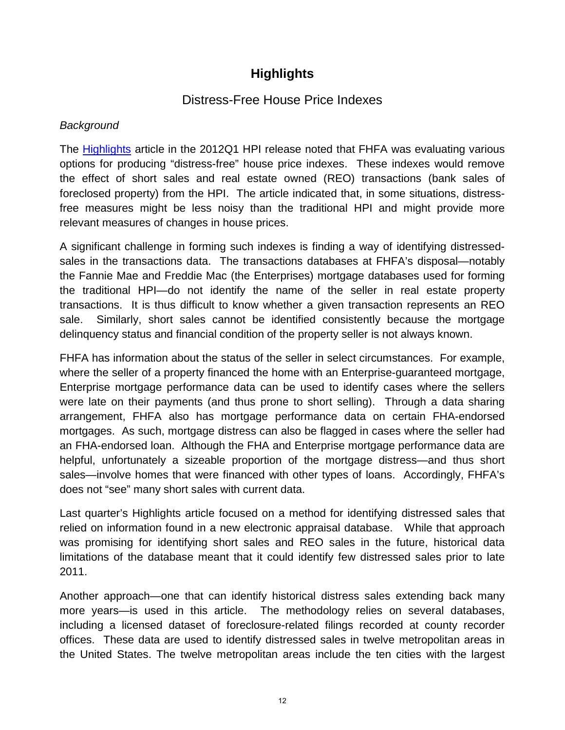# **Highlights**

### Distress-Free House Price Indexes

### *Background*

The [Highlights](http://www.fhfa.gov/webfiles/23972/Focus1q12.pdf) article in the 2012Q1 HPI release noted that FHFA was evaluating various options for producing "distress-free" house price indexes. These indexes would remove the effect of short sales and real estate owned (REO) transactions (bank sales of foreclosed property) from the HPI. The article indicated that, in some situations, distressfree measures might be less noisy than the traditional HPI and might provide more relevant measures of changes in house prices.

A significant challenge in forming such indexes is finding a way of identifying distressedsales in the transactions data. The transactions databases at FHFA's disposal—notably the Fannie Mae and Freddie Mac (the Enterprises) mortgage databases used for forming the traditional HPI—do not identify the name of the seller in real estate property transactions. It is thus difficult to know whether a given transaction represents an REO sale. Similarly, short sales cannot be identified consistently because the mortgage delinquency status and financial condition of the property seller is not always known.

FHFA has information about the status of the seller in select circumstances. For example, where the seller of a property financed the home with an Enterprise-guaranteed mortgage, Enterprise mortgage performance data can be used to identify cases where the sellers were late on their payments (and thus prone to short selling). Through a data sharing arrangement, FHFA also has mortgage performance data on certain FHA-endorsed mortgages. As such, mortgage distress can also be flagged in cases where the seller had an FHA-endorsed loan. Although the FHA and Enterprise mortgage performance data are helpful, unfortunately a sizeable proportion of the mortgage distress—and thus short sales—involve homes that were financed with other types of loans. Accordingly, FHFA's does not "see" many short sales with current data.

Last quarter's Highlights article focused on a method for identifying distressed sales that relied on information found in a new electronic appraisal database. While that approach was promising for identifying short sales and REO sales in the future, historical data limitations of the database meant that it could identify few distressed sales prior to late 2011.

Another approach—one that can identify historical distress sales extending back many more years—is used in this article. The methodology relies on several databases, including a licensed dataset of foreclosure-related filings recorded at county recorder offices. These data are used to identify distressed sales in twelve metropolitan areas in the United States. The twelve metropolitan areas include the ten cities with the largest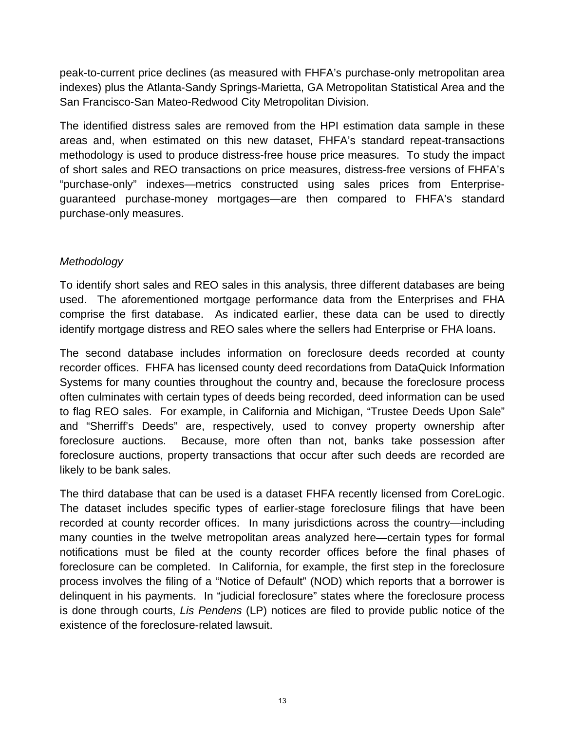peak-to-current price declines (as measured with FHFA's purchase-only metropolitan area indexes) plus the Atlanta-Sandy Springs-Marietta, GA Metropolitan Statistical Area and the San Francisco-San Mateo-Redwood City Metropolitan Division.

The identified distress sales are removed from the HPI estimation data sample in these areas and, when estimated on this new dataset, FHFA's standard repeat-transactions methodology is used to produce distress-free house price measures. To study the impact of short sales and REO transactions on price measures, distress-free versions of FHFA's "purchase-only" indexes—metrics constructed using sales prices from Enterpriseguaranteed purchase-money mortgages—are then compared to FHFA's standard purchase-only measures.

### *Methodology*

To identify short sales and REO sales in this analysis, three different databases are being used. The aforementioned mortgage performance data from the Enterprises and FHA comprise the first database. As indicated earlier, these data can be used to directly identify mortgage distress and REO sales where the sellers had Enterprise or FHA loans.

The second database includes information on foreclosure deeds recorded at county recorder offices. FHFA has licensed county deed recordations from DataQuick Information Systems for many counties throughout the country and, because the foreclosure process often culminates with certain types of deeds being recorded, deed information can be used to flag REO sales. For example, in California and Michigan, "Trustee Deeds Upon Sale" and "Sherriff's Deeds" are, respectively, used to convey property ownership after foreclosure auctions. Because, more often than not, banks take possession after foreclosure auctions, property transactions that occur after such deeds are recorded are likely to be bank sales.

The third database that can be used is a dataset FHFA recently licensed from CoreLogic. The dataset includes specific types of earlier-stage foreclosure filings that have been recorded at county recorder offices. In many jurisdictions across the country—including many counties in the twelve metropolitan areas analyzed here—certain types for formal notifications must be filed at the county recorder offices before the final phases of foreclosure can be completed. In California, for example, the first step in the foreclosure process involves the filing of a "Notice of Default" (NOD) which reports that a borrower is delinquent in his payments. In "judicial foreclosure" states where the foreclosure process is done through courts, *Lis Pendens* (LP) notices are filed to provide public notice of the existence of the foreclosure-related lawsuit.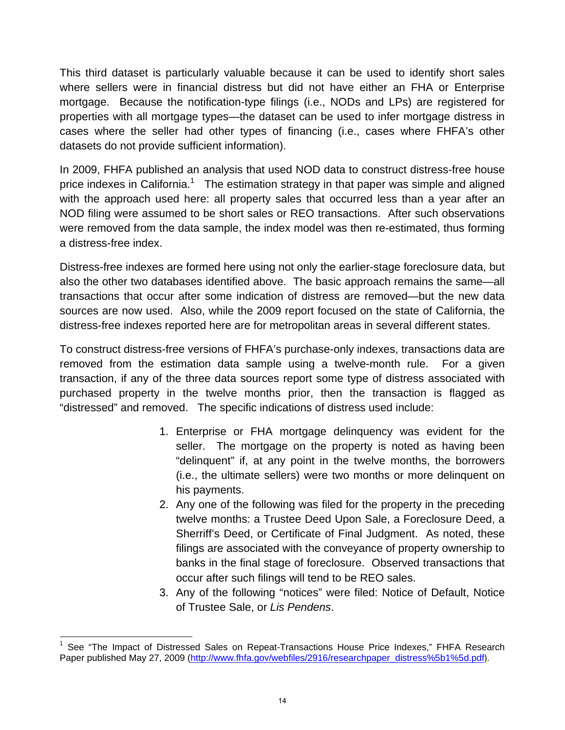This third dataset is particularly valuable because it can be used to identify short sales where sellers were in financial distress but did not have either an FHA or Enterprise mortgage. Because the notification-type filings (i.e., NODs and LPs) are registered for properties with all mortgage types—the dataset can be used to infer mortgage distress in cases where the seller had other types of financing (i.e., cases where FHFA's other datasets do not provide sufficient information).

In 2009, FHFA published an analysis that used NOD data to construct distress-free house price indexes in California.<sup>1</sup> The estimation strategy in that paper was simple and aligned with the approach used here: all property sales that occurred less than a year after an NOD filing were assumed to be short sales or REO transactions. After such observations were removed from the data sample, the index model was then re-estimated, thus forming a distress-free index.

Distress-free indexes are formed here using not only the earlier-stage foreclosure data, but also the other two databases identified above. The basic approach remains the same—all transactions that occur after some indication of distress are removed—but the new data sources are now used. Also, while the 2009 report focused on the state of California, the distress-free indexes reported here are for metropolitan areas in several different states.

To construct distress-free versions of FHFA's purchase-only indexes, transactions data are removed from the estimation data sample using a twelve-month rule. For a given transaction, if any of the three data sources report some type of distress associated with purchased property in the twelve months prior, then the transaction is flagged as "distressed" and removed. The specific indications of distress used include:

- 1. Enterprise or FHA mortgage delinquency was evident for the seller. The mortgage on the property is noted as having been "delinquent" if, at any point in the twelve months, the borrowers (i.e., the ultimate sellers) were two months or more delinquent on his payments.
- 2. Any one of the following was filed for the property in the preceding twelve months: a Trustee Deed Upon Sale, a Foreclosure Deed, a Sherriff's Deed, or Certificate of Final Judgment. As noted, these filings are associated with the conveyance of property ownership to banks in the final stage of foreclosure. Observed transactions that occur after such filings will tend to be REO sales.
- 3. Any of the following "notices" were filed: Notice of Default, Notice of Trustee Sale, or *Lis Pendens*.

 $\frac{1}{\sqrt{2}}$  . The contract of the contract of the contract of  $\frac{1}{\sqrt{2}}$ 1 See "The Impact of Distressed Sales on Repeat-Transactions House Price Indexes," FHFA Research Paper published May 27, 2009 (http://www.fhfa.gov/webfiles/2916/researchpaper\_distress%5b1%5d.pdf).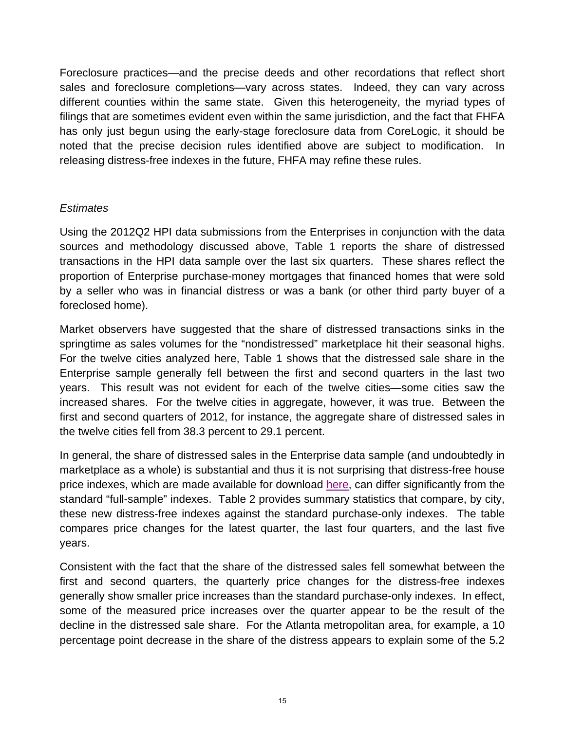Foreclosure practices—and the precise deeds and other recordations that reflect short sales and foreclosure completions—vary across states. Indeed, they can vary across different counties within the same state. Given this heterogeneity, the myriad types of filings that are sometimes evident even within the same jurisdiction, and the fact that FHFA has only just begun using the early-stage foreclosure data from CoreLogic, it should be noted that the precise decision rules identified above are subject to modification. In releasing distress-free indexes in the future, FHFA may refine these rules.

### *Estimates*

Using the 2012Q2 HPI data submissions from the Enterprises in conjunction with the data sources and methodology discussed above, Table 1 reports the share of distressed transactions in the HPI data sample over the last six quarters. These shares reflect the proportion of Enterprise purchase-money mortgages that financed homes that were sold by a seller who was in financial distress or was a bank (or other third party buyer of a foreclosed home).

Market observers have suggested that the share of distressed transactions sinks in the springtime as sales volumes for the "nondistressed" marketplace hit their seasonal highs. For the twelve cities analyzed here, Table 1 shows that the distressed sale share in the Enterprise sample generally fell between the first and second quarters in the last two years. This result was not evident for each of the twelve cities—some cities saw the increased shares. For the twelve cities in aggregate, however, it was true. Between the first and second quarters of 2012, for instance, the aggregate share of distressed sales in the twelve cities fell from 38.3 percent to 29.1 percent.

In general, the share of distressed sales in the Enterprise data sample (and undoubtedly in marketplace as a whole) is substantial and thus it i[s not surprisin](http://www.fhfa.gov/Default.aspx?Page=87)g that distress-free house price indexes, which are made available for download here, can differ significantly from the standard "full-sample" indexes. Table 2 provides summary statistics that compare, by city, these new distress-free indexes against the standard purchase-only indexes. The table compares price changes for the latest quarter, the last four quarters, and the last five years.

Consistent with the fact that the share of the distressed sales fell somewhat between the first and second quarters, the quarterly price changes for the distress-free indexes generally show smaller price increases than the standard purchase-only indexes. In effect, some of the measured price increases over the quarter appear to be the result of the decline in the distressed sale share. For the Atlanta metropolitan area, for example, a 10 percentage point decrease in the share of the distress appears to explain some of the 5.2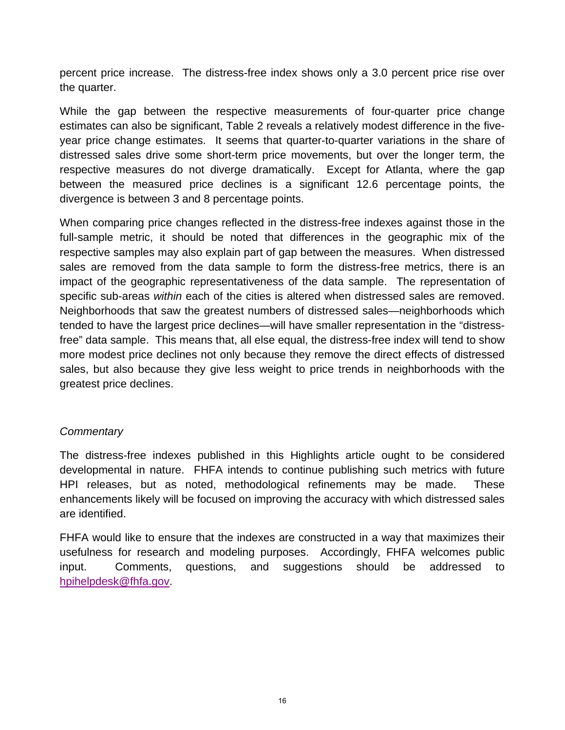percent price increase. The distress-free index shows only a 3.0 percent price rise over the quarter.

While the gap between the respective measurements of four-quarter price change estimates can also be significant, Table 2 reveals a relatively modest difference in the fiveyear price change estimates. It seems that quarter-to-quarter variations in the share of distressed sales drive some short-term price movements, but over the longer term, the respective measures do not diverge dramatically. Except for Atlanta, where the gap between the measured price declines is a significant 12.6 percentage points, the divergence is between 3 and 8 percentage points.

When comparing price changes reflected in the distress-free indexes against those in the full-sample metric, it should be noted that differences in the geographic mix of the respective samples may also explain part of gap between the measures. When distressed sales are removed from the data sample to form the distress-free metrics, there is an impact of the geographic representativeness of the data sample. The representation of specific sub-areas *within* each of the cities is altered when distressed sales are removed. Neighborhoods that saw the greatest numbers of distressed sales—neighborhoods which tended to have the largest price declines—will have smaller representation in the "distressfree" data sample. This means that, all else equal, the distress-free index will tend to show more modest price declines not only because they remove the direct effects of distressed sales, but also because they give less weight to price trends in neighborhoods with the greatest price declines.

#### *Commentary*

The distress-free indexes published in this Highlights article ought to be considered developmental in nature. FHFA intends to continue publishing such metrics with future HPI releases, but as noted, methodological refinements may be made. These enhancements likely will be focused on improving the accuracy with which distressed sales are identified.

FHFA would like to ensure that the indexes are constructed in a way that maximizes their usefulness for research and modeling purposes. Accordingly, FHFA welcomes public input. Comments, questions, and suggestions should be addressed to hpihelpdesk@fhfa.gov.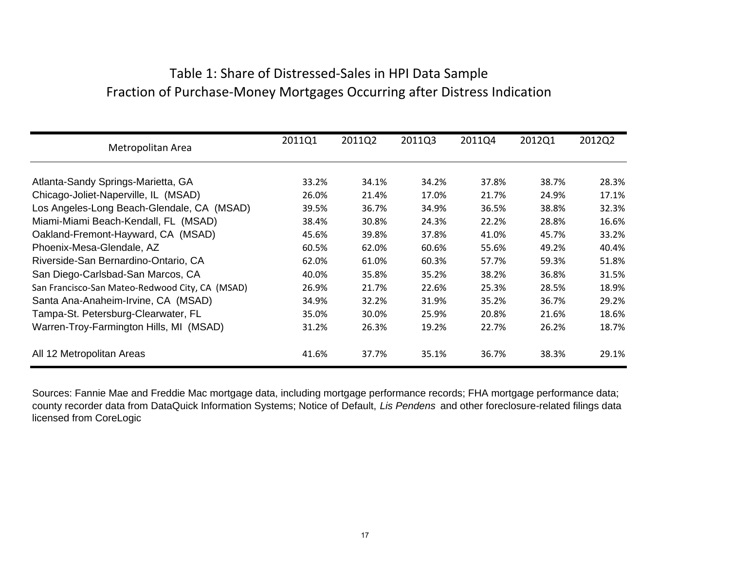# Table 1: Share of Distressed‐Sales in HPI Data Sample Fraction of Purchase‐Money Mortgages Occurring after Distress Indication

| Metropolitan Area                               | 2011Q1 | 2011Q2 | 2011Q3 | 2011Q4 | 2012Q1 | 2012Q2 |
|-------------------------------------------------|--------|--------|--------|--------|--------|--------|
| Atlanta-Sandy Springs-Marietta, GA              | 33.2%  | 34.1%  | 34.2%  | 37.8%  | 38.7%  | 28.3%  |
| Chicago-Joliet-Naperville, IL (MSAD)            | 26.0%  | 21.4%  | 17.0%  | 21.7%  | 24.9%  | 17.1%  |
| Los Angeles-Long Beach-Glendale, CA (MSAD)      | 39.5%  | 36.7%  | 34.9%  | 36.5%  | 38.8%  | 32.3%  |
| Miami-Miami Beach-Kendall, FL (MSAD)            | 38.4%  | 30.8%  | 24.3%  | 22.2%  | 28.8%  | 16.6%  |
| Oakland-Fremont-Hayward, CA (MSAD)              | 45.6%  | 39.8%  | 37.8%  | 41.0%  | 45.7%  | 33.2%  |
| Phoenix-Mesa-Glendale, AZ                       | 60.5%  | 62.0%  | 60.6%  | 55.6%  | 49.2%  | 40.4%  |
| Riverside-San Bernardino-Ontario, CA            | 62.0%  | 61.0%  | 60.3%  | 57.7%  | 59.3%  | 51.8%  |
| San Diego-Carlsbad-San Marcos, CA               | 40.0%  | 35.8%  | 35.2%  | 38.2%  | 36.8%  | 31.5%  |
| San Francisco-San Mateo-Redwood City, CA (MSAD) | 26.9%  | 21.7%  | 22.6%  | 25.3%  | 28.5%  | 18.9%  |
| Santa Ana-Anaheim-Irvine, CA (MSAD)             | 34.9%  | 32.2%  | 31.9%  | 35.2%  | 36.7%  | 29.2%  |
| Tampa-St. Petersburg-Clearwater, FL             | 35.0%  | 30.0%  | 25.9%  | 20.8%  | 21.6%  | 18.6%  |
| Warren-Troy-Farmington Hills, MI (MSAD)         | 31.2%  | 26.3%  | 19.2%  | 22.7%  | 26.2%  | 18.7%  |
| All 12 Metropolitan Areas                       | 41.6%  | 37.7%  | 35.1%  | 36.7%  | 38.3%  | 29.1%  |

Sources: Fannie Mae and Freddie Mac mortgage data, including mortgage performance records; FHA mortgage performance data; county recorder data from DataQuick Information Systems; Notice of Default, *Lis Pendens* and other foreclosure-related filings data licensed from CoreLogic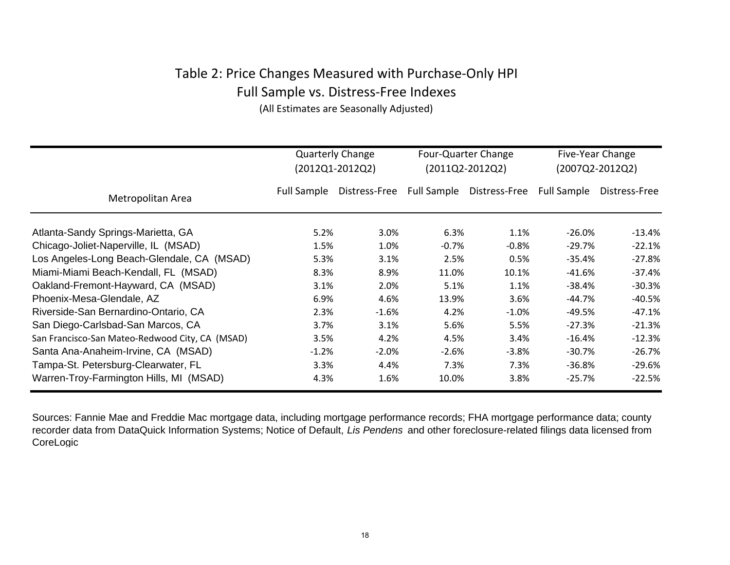# Table 2: Price Changes Measured with Purchase‐Only HPI Full Sample vs. Distress‐Free Indexes

(All Estimates are Seasonally Adjusted)

|                                                 | <b>Quarterly Change</b><br>(2012Q1-2012Q2) |               | Four-Quarter Change<br>$(2011Q2 - 2012Q2)$ |               | Five-Year Change<br>(2007Q2-2012Q2) |               |
|-------------------------------------------------|--------------------------------------------|---------------|--------------------------------------------|---------------|-------------------------------------|---------------|
| Metropolitan Area                               | <b>Full Sample</b>                         | Distress-Free | Full Sample                                | Distress-Free | <b>Full Sample</b>                  | Distress-Free |
| Atlanta-Sandy Springs-Marietta, GA              | 5.2%                                       | 3.0%          | 6.3%                                       | 1.1%          | $-26.0\%$                           | $-13.4\%$     |
| Chicago-Joliet-Naperville, IL (MSAD)            | 1.5%                                       | 1.0%          | $-0.7\%$                                   | $-0.8\%$      | $-29.7%$                            | $-22.1%$      |
| Los Angeles-Long Beach-Glendale, CA (MSAD)      | 5.3%                                       | 3.1%          | 2.5%                                       | 0.5%          | $-35.4%$                            | $-27.8%$      |
| Miami-Miami Beach-Kendall, FL (MSAD)            | 8.3%                                       | 8.9%          | 11.0%                                      | 10.1%         | $-41.6%$                            | $-37.4%$      |
| Oakland-Fremont-Hayward, CA (MSAD)              | 3.1%                                       | 2.0%          | 5.1%                                       | 1.1%          | $-38.4\%$                           | $-30.3%$      |
| Phoenix-Mesa-Glendale, AZ                       | 6.9%                                       | 4.6%          | 13.9%                                      | 3.6%          | -44.7%                              | $-40.5%$      |
| Riverside-San Bernardino-Ontario, CA            | 2.3%                                       | $-1.6%$       | 4.2%                                       | $-1.0%$       | -49.5%                              | $-47.1%$      |
| San Diego-Carlsbad-San Marcos, CA               | 3.7%                                       | 3.1%          | 5.6%                                       | 5.5%          | $-27.3%$                            | $-21.3%$      |
| San Francisco-San Mateo-Redwood City, CA (MSAD) | 3.5%                                       | 4.2%          | 4.5%                                       | 3.4%          | $-16.4%$                            | $-12.3%$      |
| Santa Ana-Anaheim-Irvine, CA (MSAD)             | $-1.2%$                                    | $-2.0%$       | $-2.6%$                                    | $-3.8%$       | $-30.7%$                            | $-26.7%$      |
| Tampa-St. Petersburg-Clearwater, FL             | 3.3%                                       | 4.4%          | 7.3%                                       | 7.3%          | $-36.8%$                            | $-29.6%$      |
| Warren-Troy-Farmington Hills, MI (MSAD)         | 4.3%                                       | 1.6%          | 10.0%                                      | 3.8%          | $-25.7%$                            | $-22.5%$      |

Sources: Fannie Mae and Freddie Mac mortgage data, including mortgage performance records; FHA mortgage performance data; county recorder data from DataQuick Information Systems; Notice of Default, *Lis Pendens* and other foreclosure-related filings data licensed from CoreLogic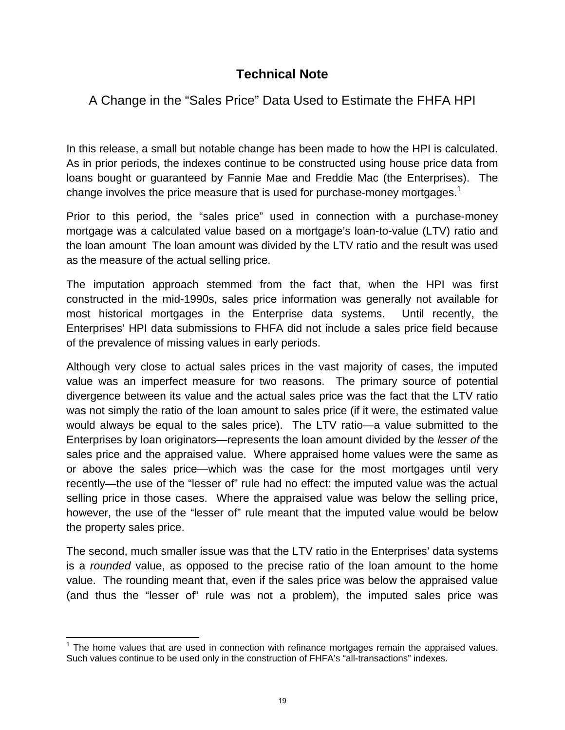## **Technical Note**

## A Change in the "Sales Price" Data Used to Estimate the FHFA HPI

In this release, a small but notable change has been made to how the HPI is calculated. As in prior periods, the indexes continue to be constructed using house price data from loans bought or guaranteed by Fannie Mae and Freddie Mac (the Enterprises). The change involves the price measure that is used for purchase-money mortgages.<sup>1</sup>

Prior to this period, the "sales price" used in connection with a purchase-money mortgage was a calculated value based on a mortgage's loan-to-value (LTV) ratio and the loan amount The loan amount was divided by the LTV ratio and the result was used as the measure of the actual selling price.

The imputation approach stemmed from the fact that, when the HPI was first constructed in the mid-1990s, sales price information was generally not available for most historical mortgages in the Enterprise data systems. Until recently, the Enterprises' HPI data submissions to FHFA did not include a sales price field because of the prevalence of missing values in early periods.

Although very close to actual sales prices in the vast majority of cases, the imputed value was an imperfect measure for two reasons. The primary source of potential divergence between its value and the actual sales price was the fact that the LTV ratio was not simply the ratio of the loan amount to sales price (if it were, the estimated value would always be equal to the sales price). The LTV ratio—a value submitted to the Enterprises by loan originators—represents the loan amount divided by the *lesser of* the sales price and the appraised value. Where appraised home values were the same as or above the sales price—which was the case for the most mortgages until very recently—the use of the "lesser of" rule had no effect: the imputed value was the actual selling price in those cases. Where the appraised value was below the selling price, however, the use of the "lesser of" rule meant that the imputed value would be below the property sales price.

The second, much smaller issue was that the LTV ratio in the Enterprises' data systems is a *rounded* value, as opposed to the precise ratio of the loan amount to the home value. The rounding meant that, even if the sales price was below the appraised value (and thus the "lesser of" rule was not a problem), the imputed sales price was

<u> 1980 - Andrea Andrew Maria (h. 1980).</u><br>1980 - Andrew Maria (h. 1980).

 $1$  The home values that are used in connection with refinance mortgages remain the appraised values. Such values continue to be used only in the construction of FHFA's "all-transactions" indexes.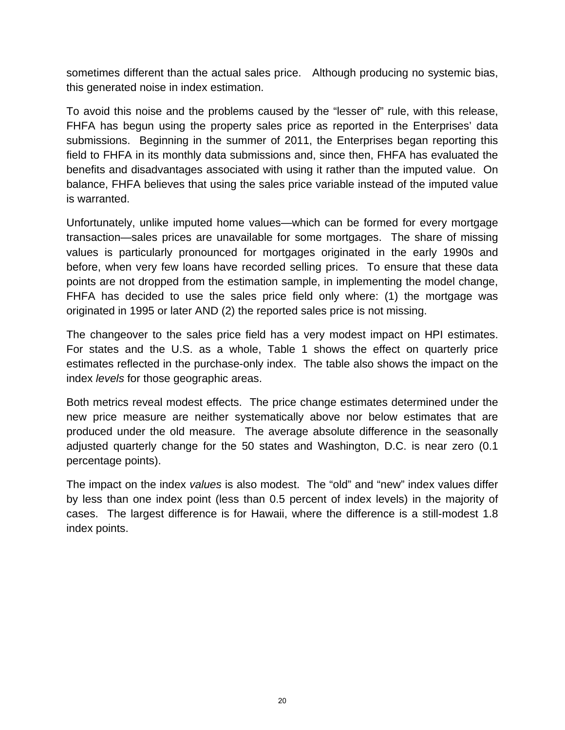sometimes different than the actual sales price. Although producing no systemic bias, this generated noise in index estimation.

To avoid this noise and the problems caused by the "lesser of" rule, with this release, FHFA has begun using the property sales price as reported in the Enterprises' data submissions. Beginning in the summer of 2011, the Enterprises began reporting this field to FHFA in its monthly data submissions and, since then, FHFA has evaluated the benefits and disadvantages associated with using it rather than the imputed value. On balance, FHFA believes that using the sales price variable instead of the imputed value is warranted.

Unfortunately, unlike imputed home values—which can be formed for every mortgage transaction—sales prices are unavailable for some mortgages. The share of missing values is particularly pronounced for mortgages originated in the early 1990s and before, when very few loans have recorded selling prices. To ensure that these data points are not dropped from the estimation sample, in implementing the model change, FHFA has decided to use the sales price field only where: (1) the mortgage was originated in 1995 or later AND (2) the reported sales price is not missing.

The changeover to the sales price field has a very modest impact on HPI estimates. For states and the U.S. as a whole, Table 1 shows the effect on quarterly price estimates reflected in the purchase-only index. The table also shows the impact on the index *levels* for those geographic areas.

Both metrics reveal modest effects. The price change estimates determined under the new price measure are neither systematically above nor below estimates that are produced under the old measure. The average absolute difference in the seasonally adjusted quarterly change for the 50 states and Washington, D.C. is near zero (0.1 percentage points).

The impact on the index *values* is also modest. The "old" and "new" index values differ by less than one index point (less than 0.5 percent of index levels) in the majority of cases. The largest difference is for Hawaii, where the difference is a still-modest 1.8 index points.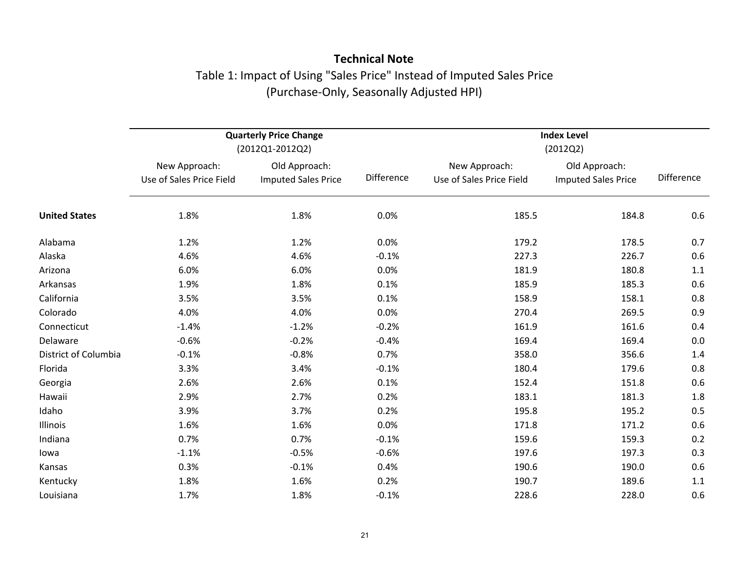# **Technical Note** Table 1: Impact of Using "Sales Price" Instead of Imputed Sales Price (Purchase‐Only, Seasonally Adjusted HPI)

|                      |                                           | <b>Quarterly Price Change</b><br>(2012Q1-2012Q2) |            | <b>Index Level</b><br>(2012Q2)            |                                             |            |  |
|----------------------|-------------------------------------------|--------------------------------------------------|------------|-------------------------------------------|---------------------------------------------|------------|--|
|                      | New Approach:<br>Use of Sales Price Field | Old Approach:<br><b>Imputed Sales Price</b>      | Difference | New Approach:<br>Use of Sales Price Field | Old Approach:<br><b>Imputed Sales Price</b> | Difference |  |
| <b>United States</b> | 1.8%                                      | 1.8%                                             | 0.0%       | 185.5                                     | 184.8                                       | 0.6        |  |
| Alabama              | 1.2%                                      | 1.2%                                             | 0.0%       | 179.2                                     | 178.5                                       | 0.7        |  |
| Alaska               | 4.6%                                      | 4.6%                                             | $-0.1%$    | 227.3                                     | 226.7                                       | 0.6        |  |
| Arizona              | 6.0%                                      | 6.0%                                             | 0.0%       | 181.9                                     | 180.8                                       | 1.1        |  |
| Arkansas             | 1.9%                                      | 1.8%                                             | 0.1%       | 185.9                                     | 185.3                                       | 0.6        |  |
| California           | 3.5%                                      | 3.5%                                             | 0.1%       | 158.9                                     | 158.1                                       | 0.8        |  |
| Colorado             | 4.0%                                      | 4.0%                                             | 0.0%       | 270.4                                     | 269.5                                       | 0.9        |  |
| Connecticut          | $-1.4%$                                   | $-1.2%$                                          | $-0.2%$    | 161.9                                     | 161.6                                       | 0.4        |  |
| Delaware             | $-0.6%$                                   | $-0.2%$                                          | $-0.4%$    | 169.4                                     | 169.4                                       | 0.0        |  |
| District of Columbia | $-0.1%$                                   | $-0.8%$                                          | 0.7%       | 358.0                                     | 356.6                                       | 1.4        |  |
| Florida              | 3.3%                                      | 3.4%                                             | $-0.1%$    | 180.4                                     | 179.6                                       | 0.8        |  |
| Georgia              | 2.6%                                      | 2.6%                                             | 0.1%       | 152.4                                     | 151.8                                       | 0.6        |  |
| Hawaii               | 2.9%                                      | 2.7%                                             | 0.2%       | 183.1                                     | 181.3                                       | 1.8        |  |
| Idaho                | 3.9%                                      | 3.7%                                             | 0.2%       | 195.8                                     | 195.2                                       | 0.5        |  |
| Illinois             | 1.6%                                      | 1.6%                                             | 0.0%       | 171.8                                     | 171.2                                       | 0.6        |  |
| Indiana              | 0.7%                                      | 0.7%                                             | $-0.1%$    | 159.6                                     | 159.3                                       | 0.2        |  |
| lowa                 | $-1.1%$                                   | $-0.5%$                                          | $-0.6%$    | 197.6                                     | 197.3                                       | 0.3        |  |
| Kansas               | 0.3%                                      | $-0.1%$                                          | 0.4%       | 190.6                                     | 190.0                                       | 0.6        |  |
| Kentucky             | 1.8%                                      | 1.6%                                             | 0.2%       | 190.7                                     | 189.6                                       | 1.1        |  |
| Louisiana            | 1.7%                                      | 1.8%                                             | $-0.1%$    | 228.6                                     | 228.0                                       | 0.6        |  |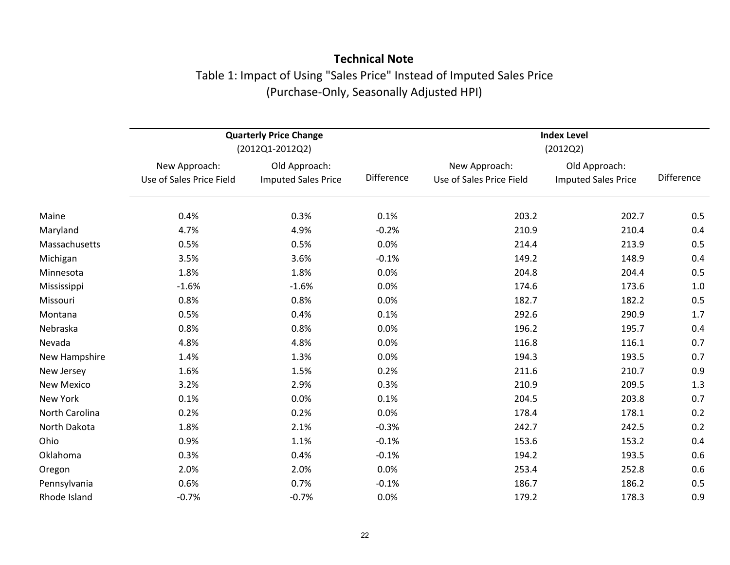## **Technical Note** Table 1: Impact of Using "Sales Price" Instead of Imputed Sales Price (Purchase‐Only, Seasonally Adjusted HPI)

|                   |                                           | <b>Quarterly Price Change</b><br>(2012Q1-2012Q2) |            | <b>Index Level</b><br>(2012Q2)            |                                             |            |
|-------------------|-------------------------------------------|--------------------------------------------------|------------|-------------------------------------------|---------------------------------------------|------------|
|                   | New Approach:<br>Use of Sales Price Field | Old Approach:<br><b>Imputed Sales Price</b>      | Difference | New Approach:<br>Use of Sales Price Field | Old Approach:<br><b>Imputed Sales Price</b> | Difference |
| Maine             | 0.4%                                      | 0.3%                                             | 0.1%       | 203.2                                     | 202.7                                       | 0.5        |
| Maryland          | 4.7%                                      | 4.9%                                             | $-0.2%$    | 210.9                                     | 210.4                                       | 0.4        |
| Massachusetts     | 0.5%                                      | 0.5%                                             | 0.0%       | 214.4                                     | 213.9                                       | 0.5        |
| Michigan          | 3.5%                                      | 3.6%                                             | $-0.1%$    | 149.2                                     | 148.9                                       | 0.4        |
| Minnesota         | 1.8%                                      | 1.8%                                             | 0.0%       | 204.8                                     | 204.4                                       | 0.5        |
| Mississippi       | $-1.6%$                                   | $-1.6%$                                          | 0.0%       | 174.6                                     | 173.6                                       | 1.0        |
| Missouri          | 0.8%                                      | 0.8%                                             | 0.0%       | 182.7                                     | 182.2                                       | 0.5        |
| Montana           | 0.5%                                      | 0.4%                                             | 0.1%       | 292.6                                     | 290.9                                       | 1.7        |
| Nebraska          | 0.8%                                      | 0.8%                                             | 0.0%       | 196.2                                     | 195.7                                       | 0.4        |
| Nevada            | 4.8%                                      | 4.8%                                             | 0.0%       | 116.8                                     | 116.1                                       | 0.7        |
| New Hampshire     | 1.4%                                      | 1.3%                                             | 0.0%       | 194.3                                     | 193.5                                       | 0.7        |
| New Jersey        | 1.6%                                      | 1.5%                                             | 0.2%       | 211.6                                     | 210.7                                       | 0.9        |
| <b>New Mexico</b> | 3.2%                                      | 2.9%                                             | 0.3%       | 210.9                                     | 209.5                                       | 1.3        |
| New York          | 0.1%                                      | 0.0%                                             | 0.1%       | 204.5                                     | 203.8                                       | 0.7        |
| North Carolina    | 0.2%                                      | 0.2%                                             | 0.0%       | 178.4                                     | 178.1                                       | 0.2        |
| North Dakota      | 1.8%                                      | 2.1%                                             | $-0.3%$    | 242.7                                     | 242.5                                       | 0.2        |
| Ohio              | 0.9%                                      | 1.1%                                             | $-0.1%$    | 153.6                                     | 153.2                                       | 0.4        |
| Oklahoma          | 0.3%                                      | 0.4%                                             | $-0.1%$    | 194.2                                     | 193.5                                       | 0.6        |
| Oregon            | 2.0%                                      | 2.0%                                             | 0.0%       | 253.4                                     | 252.8                                       | 0.6        |
| Pennsylvania      | 0.6%                                      | 0.7%                                             | $-0.1%$    | 186.7                                     | 186.2                                       | 0.5        |
| Rhode Island      | $-0.7%$                                   | $-0.7%$                                          | 0.0%       | 179.2                                     | 178.3                                       | 0.9        |